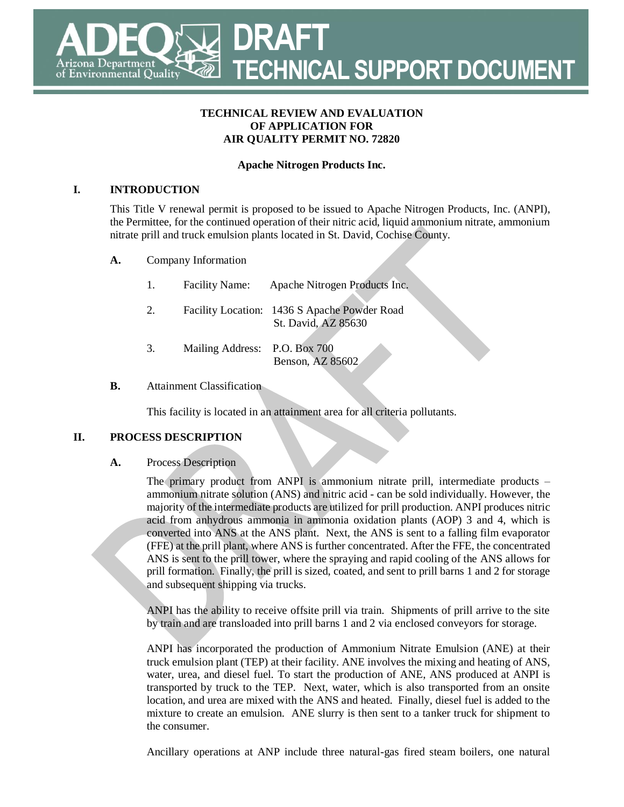# **DRAFT TECHNICAL SUPPORT DOCUMENT** rizona Department of Environmental Quality

#### **TECHNICAL REVIEW AND EVALUATION OF APPLICATION FOR AIR QUALITY PERMIT NO. 72820**

### **Apache Nitrogen Products Inc.**

#### **I. INTRODUCTION**

This Title V renewal permit is proposed to be issued to Apache Nitrogen Products, Inc. (ANPI), the Permittee, for the continued operation of their nitric acid, liquid ammonium nitrate, ammonium nitrate prill and truck emulsion plants located in St. David, Cochise County.

**A.** Company Information

| 1. | <b>Facility Name:</b>         | Apache Nitrogen Products Inc.                                       |
|----|-------------------------------|---------------------------------------------------------------------|
| 2. |                               | Facility Location: 1436 S Apache Powder Road<br>St. David, AZ 85630 |
| 3. | Mailing Address: P.O. Box 700 | Benson, AZ 85602                                                    |

#### **B.** Attainment Classification

This facility is located in an attainment area for all criteria pollutants.

### **II. PROCESS DESCRIPTION**

#### **A.** Process Description

The primary product from ANPI is ammonium nitrate prill, intermediate products – ammonium nitrate solution (ANS) and nitric acid - can be sold individually. However, the majority of the intermediate products are utilized for prill production. ANPI produces nitric acid from anhydrous ammonia in ammonia oxidation plants (AOP) 3 and 4, which is converted into ANS at the ANS plant. Next, the ANS is sent to a falling film evaporator (FFE) at the prill plant, where ANS is further concentrated. After the FFE, the concentrated ANS is sent to the prill tower, where the spraying and rapid cooling of the ANS allows for prill formation. Finally, the prill is sized, coated, and sent to prill barns 1 and 2 for storage and subsequent shipping via trucks.

ANPI has the ability to receive offsite prill via train. Shipments of prill arrive to the site by train and are transloaded into prill barns 1 and 2 via enclosed conveyors for storage.

ANPI has incorporated the production of Ammonium Nitrate Emulsion (ANE) at their truck emulsion plant (TEP) at their facility. ANE involves the mixing and heating of ANS, water, urea, and diesel fuel. To start the production of ANE, ANS produced at ANPI is transported by truck to the TEP. Next, water, which is also transported from an onsite location, and urea are mixed with the ANS and heated. Finally, diesel fuel is added to the mixture to create an emulsion. ANE slurry is then sent to a tanker truck for shipment to the consumer.

Ancillary operations at ANP include three natural-gas fired steam boilers, one natural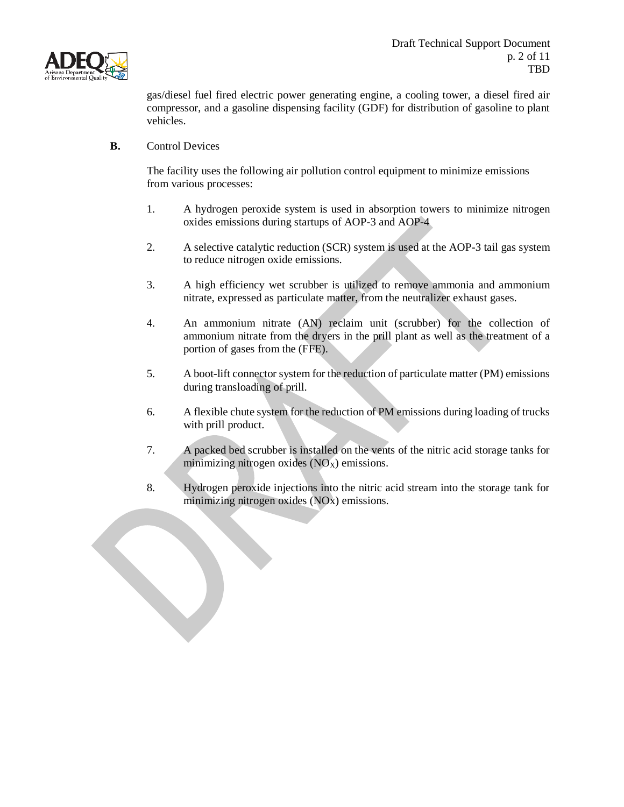

gas/diesel fuel fired electric power generating engine, a cooling tower, a diesel fired air compressor, and a gasoline dispensing facility (GDF) for distribution of gasoline to plant vehicles.

**B.** Control Devices

The facility uses the following air pollution control equipment to minimize emissions from various processes:

- 1. A hydrogen peroxide system is used in absorption towers to minimize nitrogen oxides emissions during startups of AOP-3 and AOP-4
- 2. A selective catalytic reduction (SCR) system is used at the AOP-3 tail gas system to reduce nitrogen oxide emissions.
- 3. A high efficiency wet scrubber is utilized to remove ammonia and ammonium nitrate, expressed as particulate matter, from the neutralizer exhaust gases.
- 4. An ammonium nitrate (AN) reclaim unit (scrubber) for the collection of ammonium nitrate from the dryers in the prill plant as well as the treatment of a portion of gases from the (FFE).
- 5. A boot-lift connector system for the reduction of particulate matter (PM) emissions during transloading of prill.
- 6. A flexible chute system for the reduction of PM emissions during loading of trucks with prill product.
- 7. A packed bed scrubber is installed on the vents of the nitric acid storage tanks for minimizing nitrogen oxides  $(NO<sub>X</sub>)$  emissions.
- 8. Hydrogen peroxide injections into the nitric acid stream into the storage tank for minimizing nitrogen oxides (NOx) emissions.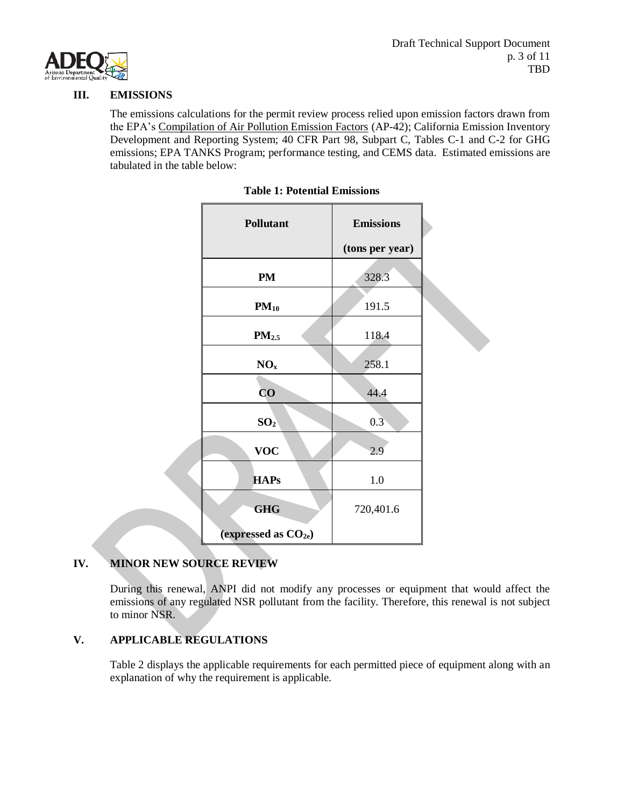

#### **III. EMISSIONS**

The emissions calculations for the permit review process relied upon emission factors drawn from the EPA's Compilation of Air Pollution Emission Factors (AP-42); California Emission Inventory Development and Reporting System; 40 CFR Part 98, Subpart C, Tables C-1 and C-2 for GHG emissions; EPA TANKS Program; performance testing, and CEMS data. Estimated emissions are tabulated in the table below:

| <b>Pollutant</b>                  | <b>Emissions</b> |  |
|-----------------------------------|------------------|--|
|                                   | (tons per year)  |  |
| <b>PM</b>                         | 328.3            |  |
| $PM_{10}$                         | 191.5            |  |
| PM <sub>2.5</sub>                 | 118.4            |  |
| NO <sub>x</sub>                   | 258.1            |  |
| $\overline{\mathbf{C}}\mathbf{O}$ | 44.4             |  |
| SO <sub>2</sub>                   | 0.3              |  |
| <b>VOC</b>                        | 2.9              |  |
| <b>HAPs</b>                       | $1.0\,$          |  |
| <b>GHG</b>                        | 720,401.6        |  |
| (expressed as $CO2e$ )            |                  |  |

|  |  |  |  | <b>Table 1: Potential Emissions</b> |
|--|--|--|--|-------------------------------------|
|--|--|--|--|-------------------------------------|

### **IV. MINOR NEW SOURCE REVIEW**

During this renewal, ANPI did not modify any processes or equipment that would affect the emissions of any regulated NSR pollutant from the facility. Therefore, this renewal is not subject to minor NSR.

### **V. APPLICABLE REGULATIONS**

Table 2 displays the applicable requirements for each permitted piece of equipment along with an explanation of why the requirement is applicable.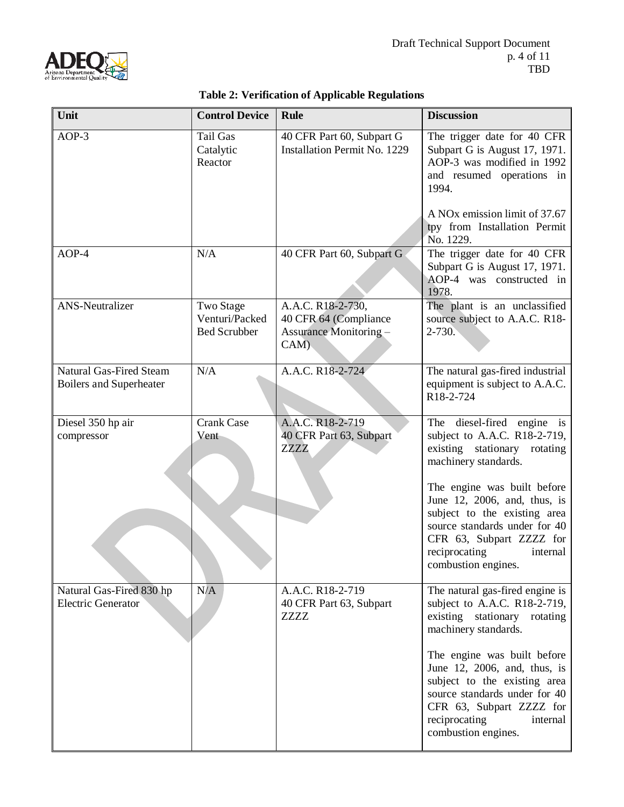

|                                                           |                                                    | abic 2. Vermeation of Applicable Regulations                                        |                                                                                                                                                                                                                                                                                                                                         |
|-----------------------------------------------------------|----------------------------------------------------|-------------------------------------------------------------------------------------|-----------------------------------------------------------------------------------------------------------------------------------------------------------------------------------------------------------------------------------------------------------------------------------------------------------------------------------------|
| Unit                                                      | <b>Control Device</b>                              | <b>Rule</b>                                                                         | <b>Discussion</b>                                                                                                                                                                                                                                                                                                                       |
| $AOP-3$                                                   | <b>Tail Gas</b><br>Catalytic<br>Reactor            | 40 CFR Part 60, Subpart G<br>Installation Permit No. 1229                           | The trigger date for 40 CFR<br>Subpart G is August 17, 1971.<br>AOP-3 was modified in 1992<br>and resumed operations in<br>1994.<br>A NO <sub>x</sub> emission limit of 37.67<br>tpy from Installation Permit<br>No. 1229.                                                                                                              |
| $AOP-4$                                                   | N/A                                                | 40 CFR Part 60, Subpart G                                                           | The trigger date for 40 CFR<br>Subpart G is August 17, 1971.<br>AOP-4 was constructed in<br>1978.                                                                                                                                                                                                                                       |
| <b>ANS-Neutralizer</b>                                    | Two Stage<br>Venturi/Packed<br><b>Bed Scrubber</b> | A.A.C. R18-2-730,<br>40 CFR 64 (Compliance<br><b>Assurance Monitoring -</b><br>CAM) | The plant is an unclassified<br>source subject to A.A.C. R18-<br>$2 - 730.$                                                                                                                                                                                                                                                             |
| Natural Gas-Fired Steam<br><b>Boilers and Superheater</b> | N/A                                                | A.A.C. R18-2-724                                                                    | The natural gas-fired industrial<br>equipment is subject to A.A.C.<br>R18-2-724                                                                                                                                                                                                                                                         |
| Diesel 350 hp air<br>compressor                           | <b>Crank Case</b><br>Vent                          | A.A.C. R18-2-719<br>40 CFR Part 63, Subpart<br>ZZZZ                                 | diesel-fired engine is<br>The<br>subject to A.A.C. R18-2-719,<br>existing stationary rotating<br>machinery standards.<br>The engine was built before<br>June 12, 2006, and, thus, is<br>subject to the existing area<br>source standards under for 40<br>CFR 63, Subpart ZZZZ for<br>reciprocating<br>internal<br>combustion engines.   |
| Natural Gas-Fired 830 hp<br><b>Electric Generator</b>     | N/A                                                | A.A.C. R18-2-719<br>40 CFR Part 63, Subpart<br><b>ZZZZ</b>                          | The natural gas-fired engine is<br>subject to A.A.C. R18-2-719,<br>existing stationary rotating<br>machinery standards.<br>The engine was built before<br>June 12, 2006, and, thus, is<br>subject to the existing area<br>source standards under for 40<br>CFR 63, Subpart ZZZZ for<br>reciprocating<br>internal<br>combustion engines. |

### **Table 2: Verification of Applicable Regulations**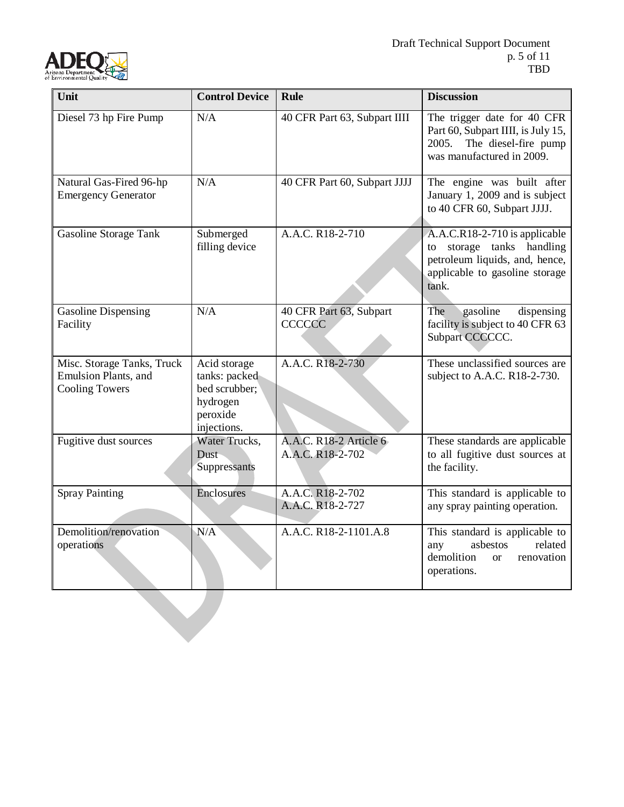

| Unit                                                                                | <b>Control Device</b>                                                                 | <b>Rule</b>                                | <b>Discussion</b>                                                                                                                       |
|-------------------------------------------------------------------------------------|---------------------------------------------------------------------------------------|--------------------------------------------|-----------------------------------------------------------------------------------------------------------------------------------------|
| Diesel 73 hp Fire Pump                                                              | N/A                                                                                   | 40 CFR Part 63, Subpart IIII               | The trigger date for 40 CFR<br>Part 60, Subpart IIII, is July 15,<br>The diesel-fire pump<br>2005.<br>was manufactured in 2009.         |
| Natural Gas-Fired 96-hp<br><b>Emergency Generator</b>                               | N/A                                                                                   | 40 CFR Part 60, Subpart JJJJ               | The engine was built after<br>January 1, 2009 and is subject<br>to 40 CFR 60, Subpart JJJJ.                                             |
| <b>Gasoline Storage Tank</b>                                                        | Submerged<br>filling device                                                           | A.A.C. R18-2-710                           | A.A.C.R18-2-710 is applicable<br>to storage tanks handling<br>petroleum liquids, and, hence,<br>applicable to gasoline storage<br>tank. |
| <b>Gasoline Dispensing</b><br>Facility                                              | N/A                                                                                   | 40 CFR Part 63, Subpart<br><b>CCCCCC</b>   | gasoline<br>dispensing<br>The<br>facility is subject to 40 CFR 63<br>Subpart CCCCCC.                                                    |
| Misc. Storage Tanks, Truck<br><b>Emulsion Plants</b> , and<br><b>Cooling Towers</b> | Acid storage<br>tanks: packed<br>bed scrubber;<br>hydrogen<br>peroxide<br>injections. | A.A.C. R18-2-730                           | These unclassified sources are<br>subject to A.A.C. R18-2-730.                                                                          |
| Fugitive dust sources                                                               | Water Trucks,<br>Dust-<br>Suppressants                                                | A.A.C. R18-2 Article 6<br>A.A.C. R18-2-702 | These standards are applicable<br>to all fugitive dust sources at<br>the facility.                                                      |
| <b>Spray Painting</b>                                                               | Enclosures                                                                            | A.A.C. R18-2-702<br>A.A.C. R18-2-727       | This standard is applicable to<br>any spray painting operation.                                                                         |
| Demolition/renovation<br>operations                                                 | N/A                                                                                   | A.A.C. R18-2-1101.A.8                      | This standard is applicable to<br>related<br>asbestos<br>any<br>demolition<br>renovation<br><sub>or</sub><br>operations.                |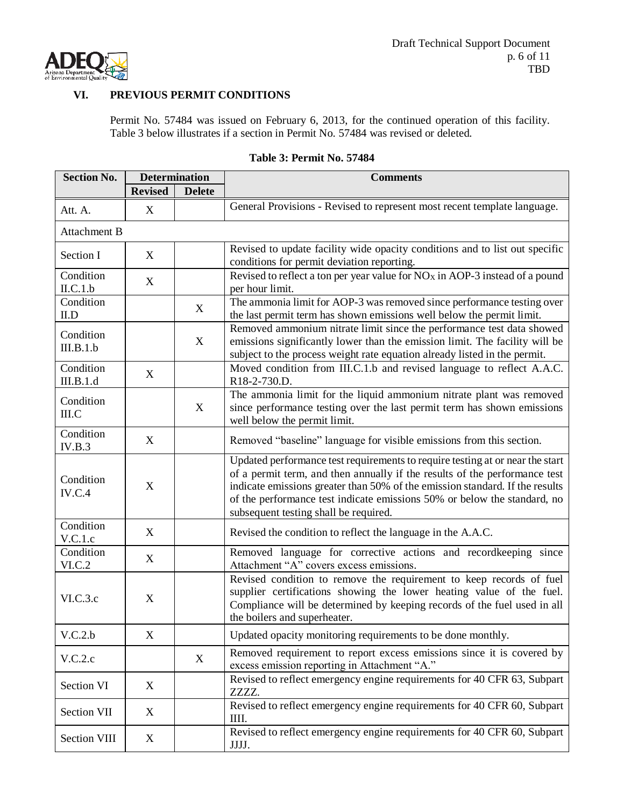

### **VI. PREVIOUS PERMIT CONDITIONS**

Permit No. 57484 was issued on February 6, 2013, for the continued operation of this facility. Table 3 below illustrates if a section in Permit No. 57484 was revised or deleted.

| <b>Section No.</b>     | <b>Determination</b>      |               | <b>Comments</b>                                                                                                                                                                                                                                                                                                                                                  |  |
|------------------------|---------------------------|---------------|------------------------------------------------------------------------------------------------------------------------------------------------------------------------------------------------------------------------------------------------------------------------------------------------------------------------------------------------------------------|--|
|                        | <b>Revised</b>            | <b>Delete</b> |                                                                                                                                                                                                                                                                                                                                                                  |  |
| Att. A.                | X                         |               | General Provisions - Revised to represent most recent template language.                                                                                                                                                                                                                                                                                         |  |
| Attachment B           |                           |               |                                                                                                                                                                                                                                                                                                                                                                  |  |
| Section I              | X                         |               | Revised to update facility wide opacity conditions and to list out specific<br>conditions for permit deviation reporting.                                                                                                                                                                                                                                        |  |
| Condition<br>ILC.1.b   | X                         |               | Revised to reflect a ton per year value for $NOX$ in AOP-3 instead of a pound<br>per hour limit.                                                                                                                                                                                                                                                                 |  |
| Condition<br>ILD       |                           | X             | The ammonia limit for AOP-3 was removed since performance testing over<br>the last permit term has shown emissions well below the permit limit.                                                                                                                                                                                                                  |  |
| Condition<br>III.B.1.b |                           | X             | Removed ammonium nitrate limit since the performance test data showed<br>emissions significantly lower than the emission limit. The facility will be<br>subject to the process weight rate equation already listed in the permit.                                                                                                                                |  |
| Condition<br>III.B.1.d | X                         |               | Moved condition from III.C.1.b and revised language to reflect A.A.C.<br>R18-2-730.D.                                                                                                                                                                                                                                                                            |  |
| Condition<br>III.C     |                           | X             | The ammonia limit for the liquid ammonium nitrate plant was removed<br>since performance testing over the last permit term has shown emissions<br>well below the permit limit.                                                                                                                                                                                   |  |
| Condition<br>IV.B.3    | $\mathbf X$               |               | Removed "baseline" language for visible emissions from this section.                                                                                                                                                                                                                                                                                             |  |
| Condition<br>IV.C.4    | $\mathbf X$               |               | Updated performance test requirements to require testing at or near the start<br>of a permit term, and then annually if the results of the performance test<br>indicate emissions greater than 50% of the emission standard. If the results<br>of the performance test indicate emissions 50% or below the standard, no<br>subsequent testing shall be required. |  |
| Condition<br>V.C.1.c   | X                         |               | Revised the condition to reflect the language in the A.A.C.                                                                                                                                                                                                                                                                                                      |  |
| Condition<br>VI.C.2    | X                         |               | Removed language for corrective actions and recordkeeping since<br>Attachment "A" covers excess emissions.                                                                                                                                                                                                                                                       |  |
| VI.C.3.c               | $\boldsymbol{\mathrm{X}}$ |               | Revised condition to remove the requirement to keep records of fuel<br>supplier certifications showing the lower heating value of the fuel.<br>Compliance will be determined by keeping records of the fuel used in all<br>the boilers and superheater.                                                                                                          |  |
| V.C.2.b                | $\boldsymbol{\mathrm{X}}$ |               | Updated opacity monitoring requirements to be done monthly.                                                                                                                                                                                                                                                                                                      |  |
| V.C.2.c                |                           | X             | Removed requirement to report excess emissions since it is covered by<br>excess emission reporting in Attachment "A."                                                                                                                                                                                                                                            |  |
| Section VI             | X                         |               | Revised to reflect emergency engine requirements for 40 CFR 63, Subpart<br>ZZZZ.                                                                                                                                                                                                                                                                                 |  |
| Section VII            | X                         |               | Revised to reflect emergency engine requirements for 40 CFR 60, Subpart<br>IIII.                                                                                                                                                                                                                                                                                 |  |
| Section VIII           | X                         |               | Revised to reflect emergency engine requirements for 40 CFR 60, Subpart<br>JJJJ.                                                                                                                                                                                                                                                                                 |  |

### **Table 3: Permit No. 57484**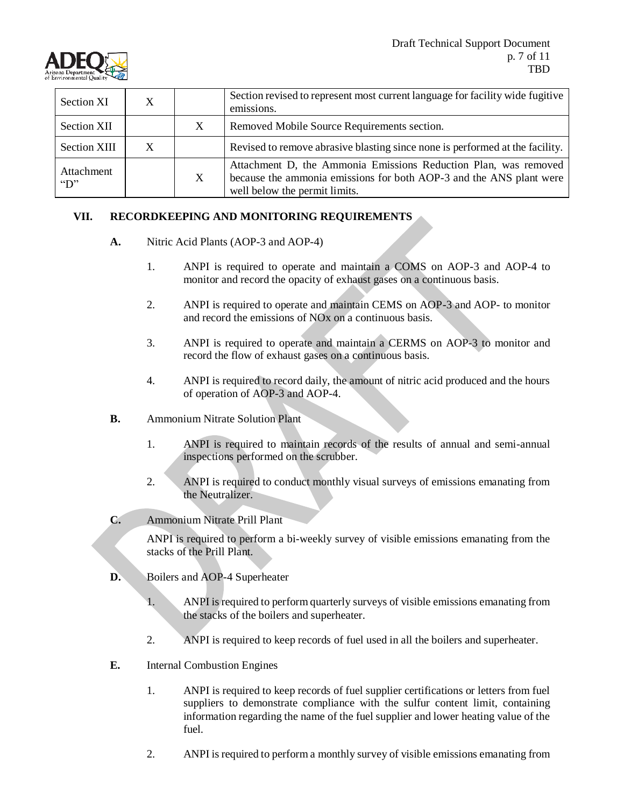

| Section XI                  | X |   | Section revised to represent most current language for facility wide fugitive<br>emissions.                                                                             |
|-----------------------------|---|---|-------------------------------------------------------------------------------------------------------------------------------------------------------------------------|
| <b>Section XII</b>          |   | X | Removed Mobile Source Requirements section.                                                                                                                             |
| <b>Section XIII</b>         | X |   | Revised to remove abrasive blasting since none is performed at the facility.                                                                                            |
| Attachment<br>$\mathcal{L}$ |   | X | Attachment D, the Ammonia Emissions Reduction Plan, was removed<br>because the ammonia emissions for both AOP-3 and the ANS plant were<br>well below the permit limits. |

### **VII. RECORDKEEPING AND MONITORING REQUIREMENTS**

- **A.** Nitric Acid Plants (AOP-3 and AOP-4)
	- 1. ANPI is required to operate and maintain a COMS on AOP-3 and AOP-4 to monitor and record the opacity of exhaust gases on a continuous basis.
	- 2. ANPI is required to operate and maintain CEMS on AOP-3 and AOP- to monitor and record the emissions of NOx on a continuous basis.
	- 3. ANPI is required to operate and maintain a CERMS on AOP-3 to monitor and record the flow of exhaust gases on a continuous basis.
	- 4. ANPI is required to record daily, the amount of nitric acid produced and the hours of operation of AOP-3 and AOP-4.
- **B.** Ammonium Nitrate Solution Plant
	- 1. ANPI is required to maintain records of the results of annual and semi-annual inspections performed on the scrubber.
	- 2. ANPI is required to conduct monthly visual surveys of emissions emanating from the Neutralizer.
- **C.** Ammonium Nitrate Prill Plant

ANPI is required to perform a bi-weekly survey of visible emissions emanating from the stacks of the Prill Plant.

- **D.** Boilers and AOP-4 Superheater
	- 1. ANPI is required to perform quarterly surveys of visible emissions emanating from the stacks of the boilers and superheater.
	- 2. ANPI is required to keep records of fuel used in all the boilers and superheater.
- **E.** Internal Combustion Engines
	- 1. ANPI is required to keep records of fuel supplier certifications or letters from fuel suppliers to demonstrate compliance with the sulfur content limit, containing information regarding the name of the fuel supplier and lower heating value of the fuel.
	- 2. ANPI is required to perform a monthly survey of visible emissions emanating from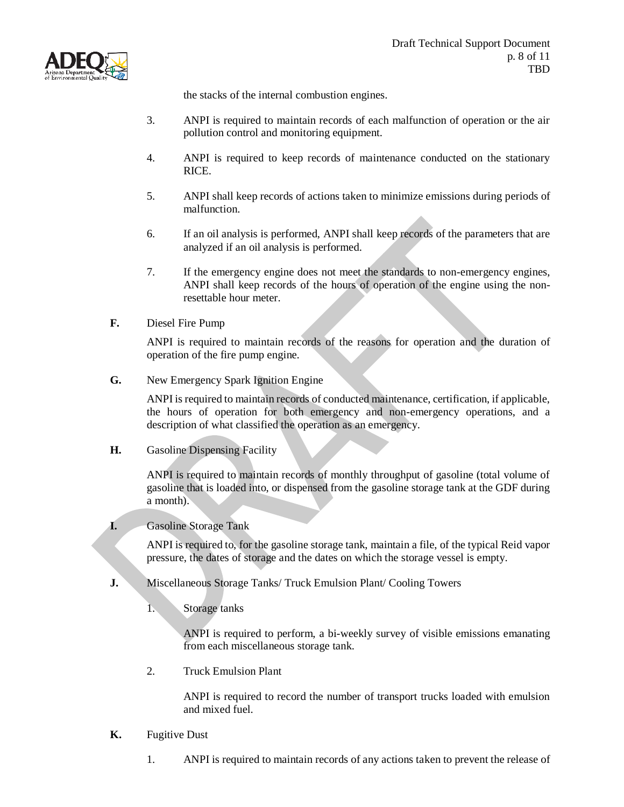

the stacks of the internal combustion engines.

- 3. ANPI is required to maintain records of each malfunction of operation or the air pollution control and monitoring equipment.
- 4. ANPI is required to keep records of maintenance conducted on the stationary RICE.
- 5. ANPI shall keep records of actions taken to minimize emissions during periods of malfunction.
- 6. If an oil analysis is performed, ANPI shall keep records of the parameters that are analyzed if an oil analysis is performed.
- 7. If the emergency engine does not meet the standards to non-emergency engines, ANPI shall keep records of the hours of operation of the engine using the nonresettable hour meter.
- **F.** Diesel Fire Pump

ANPI is required to maintain records of the reasons for operation and the duration of operation of the fire pump engine.

**G.** New Emergency Spark Ignition Engine

ANPI is required to maintain records of conducted maintenance, certification, if applicable, the hours of operation for both emergency and non-emergency operations, and a description of what classified the operation as an emergency.

**H.** Gasoline Dispensing Facility

ANPI is required to maintain records of monthly throughput of gasoline (total volume of gasoline that is loaded into, or dispensed from the gasoline storage tank at the GDF during a month).

### **I.** Gasoline Storage Tank

ANPI is required to, for the gasoline storage tank, maintain a file, of the typical Reid vapor pressure, the dates of storage and the dates on which the storage vessel is empty.

- **J.** Miscellaneous Storage Tanks/ Truck Emulsion Plant/ Cooling Towers
	- 1. Storage tanks

ANPI is required to perform, a bi-weekly survey of visible emissions emanating from each miscellaneous storage tank.

2. Truck Emulsion Plant

ANPI is required to record the number of transport trucks loaded with emulsion and mixed fuel.

- **K.** Fugitive Dust
	- 1. ANPI is required to maintain records of any actions taken to prevent the release of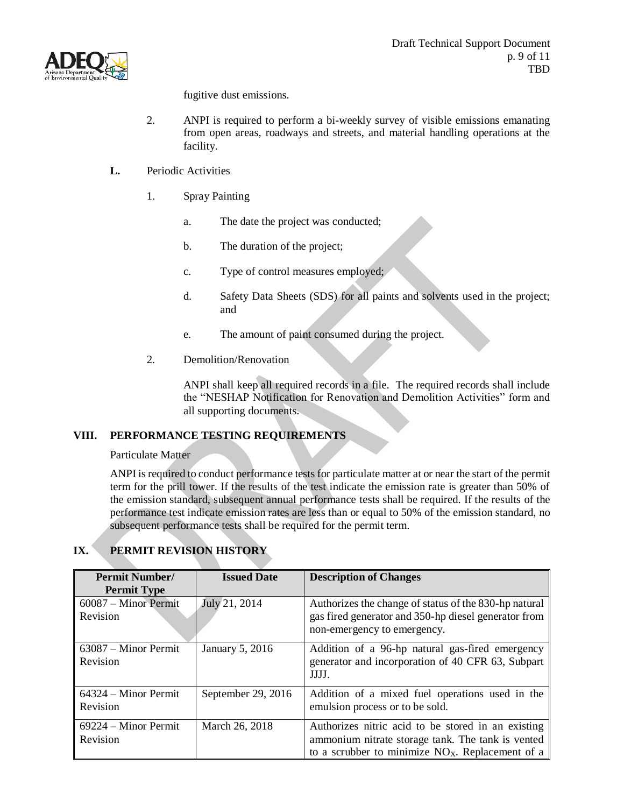

fugitive dust emissions.

- 2. ANPI is required to perform a bi-weekly survey of visible emissions emanating from open areas, roadways and streets, and material handling operations at the facility.
- **L.** Periodic Activities
	- 1. Spray Painting
		- a. The date the project was conducted;
		- b. The duration of the project;
		- c. Type of control measures employed;
		- d. Safety Data Sheets (SDS) for all paints and solvents used in the project; and
		- e. The amount of paint consumed during the project.
	- 2. Demolition/Renovation

ANPI shall keep all required records in a file. The required records shall include the "NESHAP Notification for Renovation and Demolition Activities" form and all supporting documents.

### **VIII. PERFORMANCE TESTING REQUIREMENTS**

Particulate Matter

ANPI is required to conduct performance tests for particulate matter at or near the start of the permit term for the prill tower. If the results of the test indicate the emission rate is greater than 50% of the emission standard, subsequent annual performance tests shall be required. If the results of the performance test indicate emission rates are less than or equal to 50% of the emission standard, no subsequent performance tests shall be required for the permit term.

| <b>Permit Number/</b>              | <b>Issued Date</b> | <b>Description of Changes</b>                                                                                                                                 |
|------------------------------------|--------------------|---------------------------------------------------------------------------------------------------------------------------------------------------------------|
| <b>Permit Type</b>                 |                    |                                                                                                                                                               |
| $60087 -$ Minor Permit<br>Revision | July 21, 2014      | Authorizes the change of status of the 830-hp natural<br>gas fired generator and 350-hp diesel generator from<br>non-emergency to emergency.                  |
| $63087 -$ Minor Permit<br>Revision | January 5, 2016    | Addition of a 96-hp natural gas-fired emergency<br>generator and incorporation of 40 CFR 63, Subpart<br>JJJJ.                                                 |
| 64324 – Minor Permit<br>Revision   | September 29, 2016 | Addition of a mixed fuel operations used in the<br>emulsion process or to be sold.                                                                            |
| $69224 -$ Minor Permit<br>Revision | March 26, 2018     | Authorizes nitric acid to be stored in an existing<br>ammonium nitrate storage tank. The tank is vented<br>to a scrubber to minimize $NOX$ . Replacement of a |

## **IX. PERMIT REVISION HISTORY**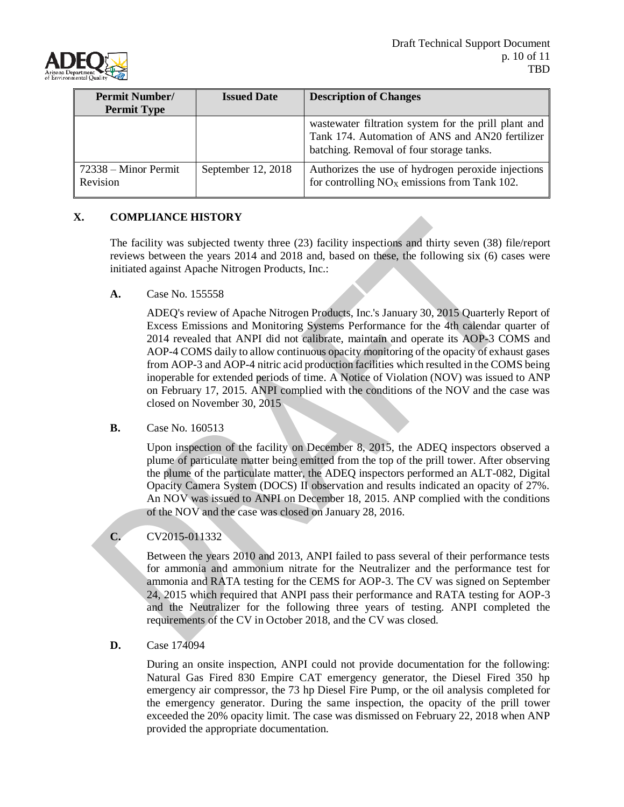

| <b>Permit Number/</b><br><b>Permit Type</b> | <b>Issued Date</b> | <b>Description of Changes</b>                                                                                                                       |
|---------------------------------------------|--------------------|-----------------------------------------------------------------------------------------------------------------------------------------------------|
|                                             |                    | wastewater filtration system for the prill plant and<br>Tank 174. Automation of ANS and AN20 fertilizer<br>batching. Removal of four storage tanks. |
| $72338 -$ Minor Permit<br>Revision          | September 12, 2018 | Authorizes the use of hydrogen peroxide injections<br>for controlling $NOX$ emissions from Tank 102.                                                |

### **X. COMPLIANCE HISTORY**

The facility was subjected twenty three (23) facility inspections and thirty seven (38) file/report reviews between the years 2014 and 2018 and, based on these, the following six (6) cases were initiated against Apache Nitrogen Products, Inc.:

**A.** Case No. 155558

ADEQ's review of Apache Nitrogen Products, Inc.'s January 30, 2015 Quarterly Report of Excess Emissions and Monitoring Systems Performance for the 4th calendar quarter of 2014 revealed that ANPI did not calibrate, maintain and operate its AOP-3 COMS and AOP-4 COMS daily to allow continuous opacity monitoring of the opacity of exhaust gases from AOP-3 and AOP-4 nitric acid production facilities which resulted in the COMS being inoperable for extended periods of time. A Notice of Violation (NOV) was issued to ANP on February 17, 2015. ANPI complied with the conditions of the NOV and the case was closed on November 30, 2015

### **B.** Case No. 160513

Upon inspection of the facility on December 8, 2015, the ADEQ inspectors observed a plume of particulate matter being emitted from the top of the prill tower. After observing the plume of the particulate matter, the ADEQ inspectors performed an ALT-082, Digital Opacity Camera System (DOCS) II observation and results indicated an opacity of 27%. An NOV was issued to ANPI on December 18, 2015. ANP complied with the conditions of the NOV and the case was closed on January 28, 2016.

### **C.** CV2015-011332

Between the years 2010 and 2013, ANPI failed to pass several of their performance tests for ammonia and ammonium nitrate for the Neutralizer and the performance test for ammonia and RATA testing for the CEMS for AOP-3. The CV was signed on September 24, 2015 which required that ANPI pass their performance and RATA testing for AOP-3 and the Neutralizer for the following three years of testing. ANPI completed the requirements of the CV in October 2018, and the CV was closed.

### **D.** Case 174094

During an onsite inspection, ANPI could not provide documentation for the following: Natural Gas Fired 830 Empire CAT emergency generator, the Diesel Fired 350 hp emergency air compressor, the 73 hp Diesel Fire Pump, or the oil analysis completed for the emergency generator. During the same inspection, the opacity of the prill tower exceeded the 20% opacity limit. The case was dismissed on February 22, 2018 when ANP provided the appropriate documentation.